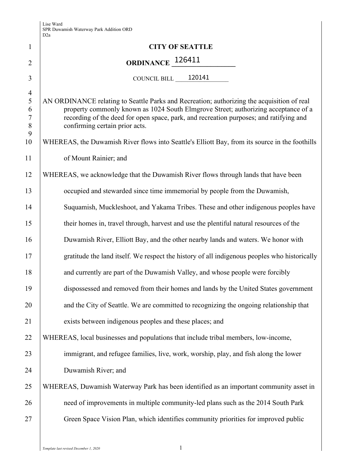|                                                                 | D∠a                                                                                                                                                                                                                                                                                                          |
|-----------------------------------------------------------------|--------------------------------------------------------------------------------------------------------------------------------------------------------------------------------------------------------------------------------------------------------------------------------------------------------------|
| 1                                                               | <b>CITY OF SEATTLE</b>                                                                                                                                                                                                                                                                                       |
| $\overline{2}$                                                  | ORDINANCE 126411                                                                                                                                                                                                                                                                                             |
| 3                                                               | COUNCIL BILL $\_\_$ 120141                                                                                                                                                                                                                                                                                   |
| $\overline{4}$<br>$\mathfrak{S}$<br>6<br>$\tau$<br>$\,8\,$<br>9 | AN ORDINANCE relating to Seattle Parks and Recreation; authorizing the acquisition of real<br>property commonly known as 1024 South Elmgrove Street; authorizing acceptance of a<br>recording of the deed for open space, park, and recreation purposes; and ratifying and<br>confirming certain prior acts. |
| 10                                                              | WHEREAS, the Duwamish River flows into Seattle's Elliott Bay, from its source in the foothills                                                                                                                                                                                                               |
| 11                                                              | of Mount Rainier; and                                                                                                                                                                                                                                                                                        |
| 12                                                              | WHEREAS, we acknowledge that the Duwamish River flows through lands that have been                                                                                                                                                                                                                           |
| 13                                                              | occupied and stewarded since time immemorial by people from the Duwamish,                                                                                                                                                                                                                                    |
| 14                                                              | Suquamish, Muckleshoot, and Yakama Tribes. These and other indigenous peoples have                                                                                                                                                                                                                           |
| 15                                                              | their homes in, travel through, harvest and use the plentiful natural resources of the                                                                                                                                                                                                                       |
| 16                                                              | Duwamish River, Elliott Bay, and the other nearby lands and waters. We honor with                                                                                                                                                                                                                            |
| 17                                                              | gratitude the land itself. We respect the history of all indigenous peoples who historically                                                                                                                                                                                                                 |
| 18                                                              | and currently are part of the Duwamish Valley, and whose people were forcibly                                                                                                                                                                                                                                |
| 19                                                              | dispossessed and removed from their homes and lands by the United States government                                                                                                                                                                                                                          |
| 20                                                              | and the City of Seattle. We are committed to recognizing the ongoing relationship that                                                                                                                                                                                                                       |
| 21                                                              | exists between indigenous peoples and these places; and                                                                                                                                                                                                                                                      |
| 22                                                              | WHEREAS, local businesses and populations that include tribal members, low-income,                                                                                                                                                                                                                           |
| 23                                                              | immigrant, and refugee families, live, work, worship, play, and fish along the lower                                                                                                                                                                                                                         |
| 24                                                              | Duwamish River; and                                                                                                                                                                                                                                                                                          |
| 25                                                              | WHEREAS, Duwamish Waterway Park has been identified as an important community asset in                                                                                                                                                                                                                       |
| 26                                                              | need of improvements in multiple community-led plans such as the 2014 South Park                                                                                                                                                                                                                             |
| 27                                                              | Green Space Vision Plan, which identifies community priorities for improved public                                                                                                                                                                                                                           |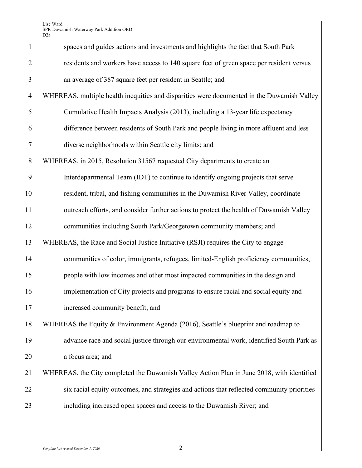Lise Ward SPR Duwamish Waterway Park Addition ORD D2a

| $\mathbf{1}$   | spaces and guides actions and investments and highlights the fact that South Park          |
|----------------|--------------------------------------------------------------------------------------------|
| $\overline{2}$ | residents and workers have access to 140 square feet of green space per resident versus    |
| 3              | an average of 387 square feet per resident in Seattle; and                                 |
| $\overline{4}$ | WHEREAS, multiple health inequities and disparities were documented in the Duwamish Valley |
| 5              | Cumulative Health Impacts Analysis (2013), including a 13-year life expectancy             |
| 6              | difference between residents of South Park and people living in more affluent and less     |
| $\tau$         | diverse neighborhoods within Seattle city limits; and                                      |
| 8              | WHEREAS, in 2015, Resolution 31567 requested City departments to create an                 |
| 9              | Interdepartmental Team (IDT) to continue to identify ongoing projects that serve           |
| 10             | resident, tribal, and fishing communities in the Duwamish River Valley, coordinate         |
| 11             | outreach efforts, and consider further actions to protect the health of Duwamish Valley    |
| 12             | communities including South Park/Georgetown community members; and                         |
| 13             | WHEREAS, the Race and Social Justice Initiative (RSJI) requires the City to engage         |
| 14             | communities of color, immigrants, refugees, limited-English proficiency communities,       |
| 15             | people with low incomes and other most impacted communities in the design and              |
| 16             | implementation of City projects and programs to ensure racial and social equity and        |
| 17             | increased community benefit; and                                                           |
| 18             | WHEREAS the Equity & Environment Agenda (2016), Seattle's blueprint and roadmap to         |
| 19             | advance race and social justice through our environmental work, identified South Park as   |
| 20             | a focus area; and                                                                          |
| 21             | WHEREAS, the City completed the Duwamish Valley Action Plan in June 2018, with identified  |
| 22             | six racial equity outcomes, and strategies and actions that reflected community priorities |
| 23             | including increased open spaces and access to the Duwamish River; and                      |
|                |                                                                                            |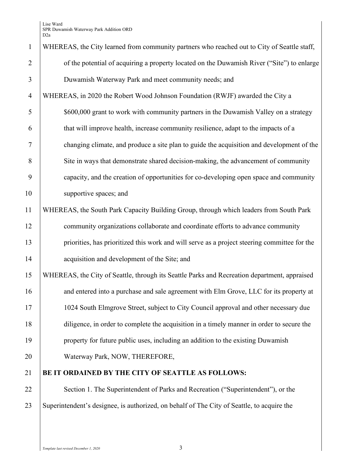| $\mathbf{1}$   | WHEREAS, the City learned from community partners who reached out to City of Seattle staff,  |
|----------------|----------------------------------------------------------------------------------------------|
| $\overline{2}$ | of the potential of acquiring a property located on the Duwamish River ("Site") to enlarge   |
| 3              | Duwamish Waterway Park and meet community needs; and                                         |
| $\overline{4}$ | WHEREAS, in 2020 the Robert Wood Johnson Foundation (RWJF) awarded the City a                |
| 5              | \$600,000 grant to work with community partners in the Duwamish Valley on a strategy         |
| 6              | that will improve health, increase community resilience, adapt to the impacts of a           |
| 7              | changing climate, and produce a site plan to guide the acquisition and development of the    |
| 8              | Site in ways that demonstrate shared decision-making, the advancement of community           |
| 9              | capacity, and the creation of opportunities for co-developing open space and community       |
| 10             | supportive spaces; and                                                                       |
| 11             | WHEREAS, the South Park Capacity Building Group, through which leaders from South Park       |
| 12             | community organizations collaborate and coordinate efforts to advance community              |
| 13             | priorities, has prioritized this work and will serve as a project steering committee for the |
| 14             | acquisition and development of the Site; and                                                 |
| 15             | WHEREAS, the City of Seattle, through its Seattle Parks and Recreation department, appraised |
| 16             | and entered into a purchase and sale agreement with Elm Grove, LLC for its property at       |
| 17             | 1024 South Elmgrove Street, subject to City Council approval and other necessary due         |
| 18             | diligence, in order to complete the acquisition in a timely manner in order to secure the    |
| 19             | property for future public uses, including an addition to the existing Duwamish              |
| 20             | Waterway Park, NOW, THEREFORE,                                                               |
| 21             | BE IT ORDAINED BY THE CITY OF SEATTLE AS FOLLOWS:                                            |
| 22             | Section 1. The Superintendent of Parks and Recreation ("Superintendent"), or the             |
|                |                                                                                              |

23 Superintendent's designee, is authorized, on behalf of The City of Seattle, to acquire the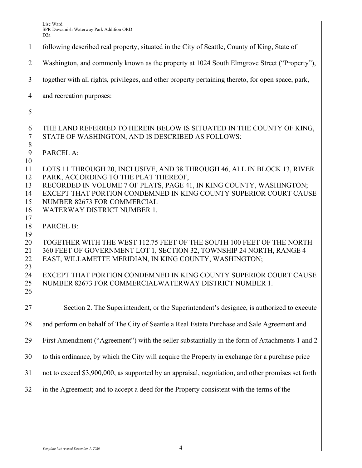|                                        | D <sub>2</sub> a                                                                                                                                                                                                                                                                                                           |
|----------------------------------------|----------------------------------------------------------------------------------------------------------------------------------------------------------------------------------------------------------------------------------------------------------------------------------------------------------------------------|
| $\mathbf{1}$                           | following described real property, situated in the City of Seattle, County of King, State of                                                                                                                                                                                                                               |
| 2                                      | Washington, and commonly known as the property at 1024 South Elmgrove Street ("Property"),                                                                                                                                                                                                                                 |
| 3                                      | together with all rights, privileges, and other property pertaining thereto, for open space, park,                                                                                                                                                                                                                         |
| $\overline{4}$                         | and recreation purposes:                                                                                                                                                                                                                                                                                                   |
| 5                                      |                                                                                                                                                                                                                                                                                                                            |
| 6<br>$\tau$<br>8                       | THE LAND REFERRED TO HEREIN BELOW IS SITUATED IN THE COUNTY OF KING,<br>STATE OF WASHINGTON, AND IS DESCRIBED AS FOLLOWS:                                                                                                                                                                                                  |
| 9<br>10                                | PARCEL A:                                                                                                                                                                                                                                                                                                                  |
| 11<br>12<br>13<br>14<br>15<br>16<br>17 | LOTS 11 THROUGH 20, INCLUSIVE, AND 38 THROUGH 46, ALL IN BLOCK 13, RIVER<br>PARK, ACCORDING TO THE PLAT THEREOF,<br>RECORDED IN VOLUME 7 OF PLATS, PAGE 41, IN KING COUNTY, WASHINGTON;<br>EXCEPT THAT PORTION CONDEMNED IN KING COUNTY SUPERIOR COURT CAUSE<br>NUMBER 82673 FOR COMMERCIAL<br>WATERWAY DISTRICT NUMBER 1. |
| 18<br>19                               | <b>PARCEL B:</b>                                                                                                                                                                                                                                                                                                           |
| 20<br>21<br>22<br>23                   | TOGETHER WITH THE WEST 112.75 FEET OF THE SOUTH 100 FEET OF THE NORTH<br>360 FEET OF GOVERNMENT LOT 1, SECTION 32, TOWNSHIP 24 NORTH, RANGE 4<br>EAST, WILLAMETTE MERIDIAN, IN KING COUNTY, WASHINGTON;                                                                                                                    |
| 24<br>25<br>26                         | EXCEPT THAT PORTION CONDEMNED IN KING COUNTY SUPERIOR COURT CAUSE<br>NUMBER 82673 FOR COMMERCIALWATERWAY DISTRICT NUMBER 1.                                                                                                                                                                                                |
| 27                                     | Section 2. The Superintendent, or the Superintendent's designee, is authorized to execute                                                                                                                                                                                                                                  |
| 28                                     | and perform on behalf of The City of Seattle a Real Estate Purchase and Sale Agreement and                                                                                                                                                                                                                                 |
| 29                                     | First Amendment ("Agreement") with the seller substantially in the form of Attachments 1 and 2                                                                                                                                                                                                                             |
| 30                                     | to this ordinance, by which the City will acquire the Property in exchange for a purchase price                                                                                                                                                                                                                            |
| 31                                     | not to exceed \$3,900,000, as supported by an appraisal, negotiation, and other promises set forth                                                                                                                                                                                                                         |
| 32                                     | in the Agreement; and to accept a deed for the Property consistent with the terms of the                                                                                                                                                                                                                                   |
|                                        |                                                                                                                                                                                                                                                                                                                            |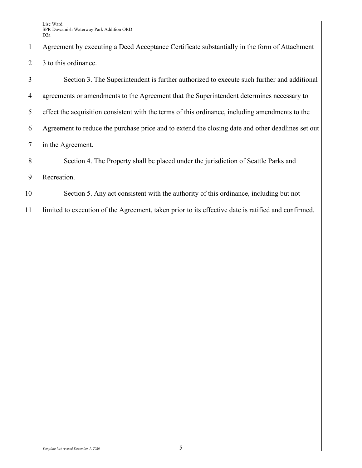Lise Ward SPR Duwamish Waterway Park Addition ORD D2a

| 1               | Agreement by executing a Deed Acceptance Certificate substantially in the form of Attachment        |
|-----------------|-----------------------------------------------------------------------------------------------------|
| 2               | 3 to this ordinance.                                                                                |
| 3               | Section 3. The Superintendent is further authorized to execute such further and additional          |
| $\overline{4}$  | agreements or amendments to the Agreement that the Superintendent determines necessary to           |
| 5               | effect the acquisition consistent with the terms of this ordinance, including amendments to the     |
| 6               | Agreement to reduce the purchase price and to extend the closing date and other deadlines set out   |
| $7\phantom{.0}$ | in the Agreement.                                                                                   |
| 8               | Section 4. The Property shall be placed under the jurisdiction of Seattle Parks and                 |
| 9               | Recreation.                                                                                         |
| 10              | Section 5. Any act consistent with the authority of this ordinance, including but not               |
| 11              | limited to execution of the Agreement, taken prior to its effective date is ratified and confirmed. |
|                 |                                                                                                     |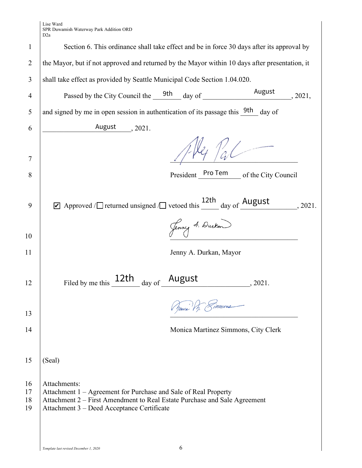Lise Ward SPR Duwamish Waterway Park Addition ORD

|                      | D <sub>2</sub> a                                                                                                                                                                                           |  |                                       |         |         |
|----------------------|------------------------------------------------------------------------------------------------------------------------------------------------------------------------------------------------------------|--|---------------------------------------|---------|---------|
| 1                    | Section 6. This ordinance shall take effect and be in force 30 days after its approval by                                                                                                                  |  |                                       |         |         |
| 2                    | the Mayor, but if not approved and returned by the Mayor within 10 days after presentation, it                                                                                                             |  |                                       |         |         |
| 3                    | shall take effect as provided by Seattle Municipal Code Section 1.04.020.                                                                                                                                  |  |                                       |         |         |
| 4                    | Passed by the City Council the 9th day of August 2021,                                                                                                                                                     |  |                                       |         |         |
| 5                    | and signed by me in open session in authentication of its passage this 9th day of                                                                                                                          |  |                                       |         |         |
| 6                    | August 2021.                                                                                                                                                                                               |  |                                       |         |         |
| 7                    |                                                                                                                                                                                                            |  | $1 - 124$                             |         |         |
| 8                    |                                                                                                                                                                                                            |  | President Pro Tem of the City Council |         |         |
| 9                    | Approved / $\Box$ returned unsigned $\Box$ vetoed this $\frac{12\text{th}}{\text{day of}}$ August                                                                                                          |  |                                       |         | , 2021. |
| 10                   |                                                                                                                                                                                                            |  | Jenny A. Durken                       |         |         |
| 11                   |                                                                                                                                                                                                            |  | Jenny A. Durkan, Mayor                |         |         |
| 12                   | Filed by me this 12th day of August                                                                                                                                                                        |  |                                       | , 2021. |         |
| 13                   |                                                                                                                                                                                                            |  | Sponcia VI. Simmons                   |         |         |
| 14                   |                                                                                                                                                                                                            |  | Monica Martinez Simmons, City Clerk   |         |         |
| 15                   | (Seal)                                                                                                                                                                                                     |  |                                       |         |         |
| 16<br>17<br>18<br>19 | Attachments:<br>Attachment 1 – Agreement for Purchase and Sale of Real Property<br>Attachment 2 – First Amendment to Real Estate Purchase and Sale Agreement<br>Attachment 3 - Deed Acceptance Certificate |  |                                       |         |         |
|                      |                                                                                                                                                                                                            |  |                                       |         |         |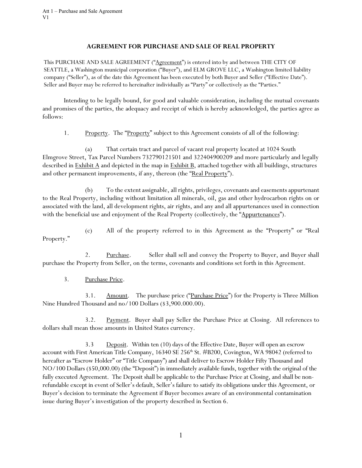## **AGREEMENT FOR PURCHASE AND SALE OF REAL PROPERTY**

This PURCHASE AND SALE AGREEMENT ("Agreement") is entered into by and between THE CITY OF SEATTLE, a Washington municipal corporation ("Buyer"), and ELM GROVE LLC, a Washington limited liability company ("Seller"), as of the date this Agreement has been executed by both Buyer and Seller ("Effective Date"). Seller and Buyer may be referred to hereinafter individually as "Party" or collectively as the "Parties."

Intending to be legally bound, for good and valuable consideration, including the mutual covenants and promises of the parties, the adequacy and receipt of which is hereby acknowledged, the parties agree as follows:

1. Property. The "Property" subject to this Agreement consists of all of the following:

(a) That certain tract and parcel of vacant real property located at 1024 South Elmgrove Street, Tax Parcel Numbers 732790121501 and 322404900209 and more particularly and legally described in **Exhibit A** and depicted in the map in **Exhibit B**, attached together with all buildings, structures and other permanent improvements, if any, thereon (the "Real Property").

(b) To the extent assignable, all rights, privileges, covenants and easements appurtenant to the Real Property, including without limitation all minerals, oil, gas and other hydrocarbon rights on or associated with the land, all development rights, air rights, and any and all appurtenances used in connection with the beneficial use and enjoyment of the Real Property (collectively, the "Appurtenances").

(c) All of the property referred to in this Agreement as the "Property" or "Real Property."

2. Purchase. Seller shall sell and convey the Property to Buyer, and Buyer shall purchase the Property from Seller, on the terms, covenants and conditions set forth in this Agreement.

3. Purchase Price.

3.1. Amount. The purchase price ("Purchase Price") for the Property is Three Million Nine Hundred Thousand and no/100 Dollars (\$3,900.000.00).

3.2. Payment. Buyer shall pay Seller the Purchase Price at Closing. All references to dollars shall mean those amounts in United States currency.

3.3 Deposit. Within ten (10) days of the Effective Date, Buyer will open an escrow account with First American Title Company, 16340 SE 256<sup>th</sup> St. #B200, Covington, WA 98042 (referred to hereafter as "Escrow Holder" or "Title Company") and shall deliver to Escrow Holder Fifty Thousand and NO/100 Dollars (\$50,000.00) (the "Deposit") in immediately available funds, together with the original of the fully executed Agreement. The Deposit shall be applicable to the Purchase Price at Closing, and shall be nonrefundable except in event of Seller's default, Seller's failure to satisfy its obligations under this Agreement, or Buyer's decision to terminate the Agreement if Buyer becomes aware of an environmental contamination issue during Buyer's investigation of the property described in Section 6.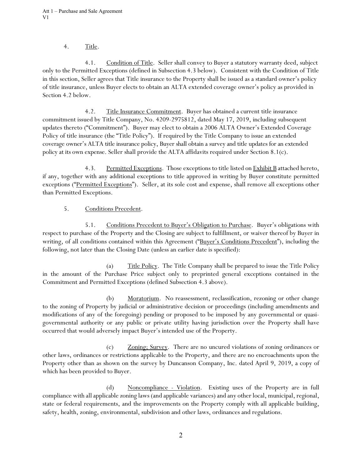# 4. Title.

4.1. Condition of Title. Seller shall convey to Buyer a statutory warranty deed, subject only to the Permitted Exceptions (defined in Subsection 4.3 below). Consistent with the Condition of Title in this section, Seller agrees that Title insurance to the Property shall be issued as a standard owner's policy of title insurance, unless Buyer elects to obtain an ALTA extended coverage owner's policy as provided in Section 4.2 below.

4.2. Title Insurance Commitment. Buyer has obtained a current title insurance commitment issued by Title Company, No. 4209-2975812, dated May 17, 2019, including subsequent updates thereto ("Commitment"). Buyer may elect to obtain a 2006 ALTA Owner's Extended Coverage Policy of title insurance (the "Title Policy"). If required by the Title Company to issue an extended coverage owner's ALTA title insurance policy, Buyer shall obtain a survey and title updates for an extended policy at its own expense. Seller shall provide the ALTA affidavits required under Section 8.1(c).

4.3. Permitted Exceptions. Those exceptions to title listed on Exhibit B attached hereto, if any, together with any additional exceptions to title approved in writing by Buyer constitute permitted exceptions ("Permitted Exceptions"). Seller, at its sole cost and expense, shall remove all exceptions other than Permitted Exceptions.

# 5. Conditions Precedent.

5.1. Conditions Precedent to Buyer's Obligation to Purchase. Buyer's obligations with respect to purchase of the Property and the Closing are subject to fulfillment, or waiver thereof by Buyer in writing, of all conditions contained within this Agreement ("Buyer's Conditions Precedent"), including the following, not later than the Closing Date (unless an earlier date is specified):

(a) Title Policy. The Title Company shall be prepared to issue the Title Policy in the amount of the Purchase Price subject only to preprinted general exceptions contained in the Commitment and Permitted Exceptions (defined Subsection 4.3 above).

(b) Moratorium. No reassessment, reclassification, rezoning or other change to the zoning of Property by judicial or administrative decision or proceedings (including amendments and modifications of any of the foregoing) pending or proposed to be imposed by any governmental or quasigovernmental authority or any public or private utility having jurisdiction over the Property shall have occurred that would adversely impact Buyer's intended use of the Property.

(c) Zoning; Survey. There are no uncured violations of zoning ordinances or other laws, ordinances or restrictions applicable to the Property, and there are no encroachments upon the Property other than as shown on the survey by Duncanson Company, Inc. dated April 9, 2019, a copy of which has been provided to Buyer.

(d) Noncompliance - Violation. Existing uses of the Property are in full compliance with all applicable zoning laws (and applicable variances) and any other local, municipal, regional, state or federal requirements, and the improvements on the Property comply with all applicable building, safety, health, zoning, environmental, subdivision and other laws, ordinances and regulations.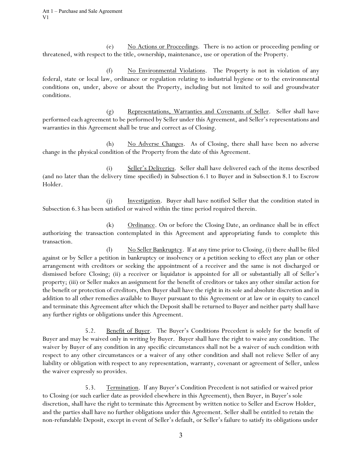(e) No Actions or Proceedings. There is no action or proceeding pending or threatened, with respect to the title, ownership, maintenance, use or operation of the Property.

(f) No Environmental Violations. The Property is not in violation of any federal, state or local law, ordinance or regulation relating to industrial hygiene or to the environmental conditions on, under, above or about the Property, including but not limited to soil and groundwater conditions.

(g) Representations, Warranties and Covenants of Seller. Seller shall have performed each agreement to be performed by Seller under this Agreement, and Seller's representations and warranties in this Agreement shall be true and correct as of Closing.

(h) No Adverse Changes. As of Closing, there shall have been no adverse change in the physical condition of the Property from the date of this Agreement.

(i) Seller's Deliveries. Seller shall have delivered each of the items described (and no later than the delivery time specified) in Subsection 6.1 to Buyer and in Subsection 8.1 to Escrow Holder.

(j) Investigation. Buyer shall have notified Seller that the condition stated in Subsection 6.3 has been satisfied or waived within the time period required therein.

(k) Ordinance. On or before the Closing Date, an ordinance shall be in effect authorizing the transaction contemplated in this Agreement and appropriating funds to complete this transaction.

(l) No Seller Bankruptcy. If at any time prior to Closing, (i) there shall be filed against or by Seller a petition in bankruptcy or insolvency or a petition seeking to effect any plan or other arrangement with creditors or seeking the appointment of a receiver and the same is not discharged or dismissed before Closing; (ii) a receiver or liquidator is appointed for all or substantially all of Seller's property; (iii) or Seller makes an assignment for the benefit of creditors or takes any other similar action for the benefit or protection of creditors, then Buyer shall have the right in its sole and absolute discretion and in addition to all other remedies available to Buyer pursuant to this Agreement or at law or in equity to cancel and terminate this Agreement after which the Deposit shall be returned to Buyer and neither party shall have any further rights or obligations under this Agreement.

5.2. Benefit of Buyer. The Buyer's Conditions Precedent is solely for the benefit of Buyer and may be waived only in writing by Buyer. Buyer shall have the right to waive any condition. The waiver by Buyer of any condition in any specific circumstances shall not be a waiver of such condition with respect to any other circumstances or a waiver of any other condition and shall not relieve Seller of any liability or obligation with respect to any representation, warranty, covenant or agreement of Seller, unless the waiver expressly so provides.

5.3. Termination. If any Buyer's Condition Precedent is not satisfied or waived prior to Closing (or such earlier date as provided elsewhere in this Agreement), then Buyer, in Buyer's sole discretion, shall have the right to terminate this Agreement by written notice to Seller and Escrow Holder, and the parties shall have no further obligations under this Agreement. Seller shall be entitled to retain the non-refundable Deposit, except in event of Seller's default, or Seller's failure to satisfy its obligations under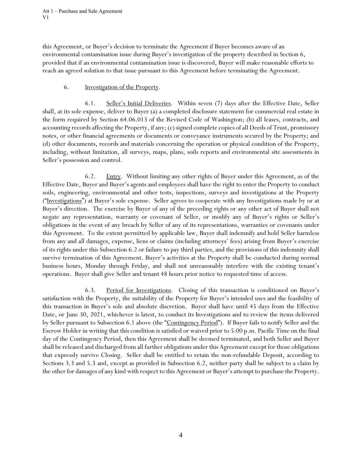Att 1 – Purchase and Sale Agreement V1

this Agreement, or Buyer's decision to terminate the Agreement if Buyer becomes aware of an environmental contamination issue during Buyer's investigation of the property described in Section 6, provided that if an environmental contamination issue is discovered, Buyer will make reasonable efforts to reach an agreed solution to that issue pursuant to this Agreement before terminating the Agreement.

## 6. Investigation of the Property.

6.1. Seller's Initial Deliveries. Within seven (7) days after the Effective Date, Seller shall, at its sole expense, deliver to Buyer (a) a completed disclosure statement for commercial real estate in the form required by Section 64.06.013 of the Revised Code of Washington; (b) all leases, contracts, and accounting records affecting the Property, if any; (c) signed complete copies of all Deeds of Trust, promissory notes, or other financial agreements or documents or conveyance instruments secured by the Property; and (d) other documents, records and materials concerning the operation or physical condition of the Property, including, without limitation, all surveys, maps, plans, soils reports and environmental site assessments in Seller's possession and control.

6.2. Entry. Without limiting any other rights of Buyer under this Agreement, as of the Effective Date, Buyer and Buyer's agents and employees shall have the right to enter the Property to conduct soils, engineering, environmental and other tests, inspections, surveys and investigations at the Property ("Investigations") at Buyer's sole expense. Seller agrees to cooperate with any Investigations made by or at Buyer's direction. The exercise by Buyer of any of the preceding rights or any other act of Buyer shall not negate any representation, warranty or covenant of Seller, or modify any of Buyer's rights or Seller's obligations in the event of any breach by Seller of any of its representations, warranties or covenants under this Agreement. To the extent permitted by applicable law, Buyer shall indemnify and hold Seller harmless from any and all damages, expense, liens or claims (including attorneys' fees) arising from Buyer's exercise of its rights under this Subsection 6.2 or failure to pay third parties, and the provisions of this indemnity shall survive termination of this Agreement. Buyer's activities at the Property shall be conducted during normal business hours, Monday through Friday, and shall not unreasonably interfere with the existing tenant's operations. Buyer shall give Seller and tenant 48 hours prior notice to requested time of access.

6.3. Period for Investigations. Closing of this transaction is conditioned on Buyer's satisfaction with the Property, the suitability of the Property for Buyer's intended uses and the feasibility of this transaction in Buyer's sole and absolute discretion. Buyer shall have until 45 days from the Effective Date, or June 30, 2021, whichever is latest, to conduct its Investigations and to review the items delivered by Seller pursuant to Subsection 6.1 above (the "Contingency Period"). If Buyer fails to notify Seller and the Escrow Holder in writing that this condition is satisfied or waived prior to 5:00 p.m. Pacific Time on the final day of the Contingency Period, then this Agreement shall be deemed terminated, and both Seller and Buyer shall be released and discharged from all further obligations under this Agreement except for those obligations that expressly survive Closing. Seller shall be entitled to retain the non-refundable Deposit, according to Sections 3.3 and 5.3 and, except as provided in Subsection 6.2, neither party shall be subject to a claim by the other for damages of any kind with respect to this Agreement or Buyer's attempt to purchase the Property.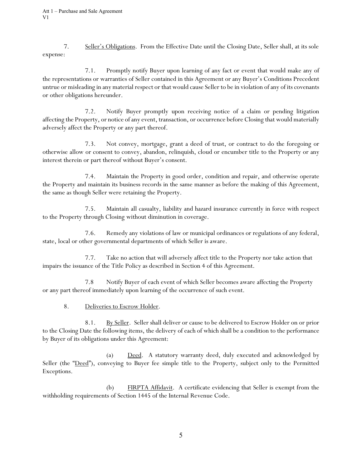7. Seller's Obligations. From the Effective Date until the Closing Date, Seller shall, at its sole expense:

7.1. Promptly notify Buyer upon learning of any fact or event that would make any of the representations or warranties of Seller contained in this Agreement or any Buyer's Conditions Precedent untrue or misleading in any material respect or that would cause Seller to be in violation of any of its covenants or other obligations hereunder.

7.2. Notify Buyer promptly upon receiving notice of a claim or pending litigation affecting the Property, or notice of any event, transaction, or occurrence before Closing that would materially adversely affect the Property or any part thereof.

7.3. Not convey, mortgage, grant a deed of trust, or contract to do the foregoing or otherwise allow or consent to convey, abandon, relinquish, cloud or encumber title to the Property or any interest therein or part thereof without Buyer's consent.

7.4. Maintain the Property in good order, condition and repair, and otherwise operate the Property and maintain its business records in the same manner as before the making of this Agreement, the same as though Seller were retaining the Property.

7.5. Maintain all casualty, liability and hazard insurance currently in force with respect to the Property through Closing without diminution in coverage.

7.6. Remedy any violations of law or municipal ordinances or regulations of any federal, state, local or other governmental departments of which Seller is aware.

7.7. Take no action that will adversely affect title to the Property nor take action that impairs the issuance of the Title Policy as described in Section 4 of this Agreement.

7.8 Notify Buyer of each event of which Seller becomes aware affecting the Property or any part thereof immediately upon learning of the occurrence of such event.

8. Deliveries to Escrow Holder.

8.1. By Seller. Seller shall deliver or cause to be delivered to Escrow Holder on or prior to the Closing Date the following items, the delivery of each of which shall be a condition to the performance by Buyer of its obligations under this Agreement:

(a) Deed. A statutory warranty deed, duly executed and acknowledged by Seller (the "Deed"), conveying to Buyer fee simple title to the Property, subject only to the Permitted Exceptions.

(b) FIRPTA Affidavit. A certificate evidencing that Seller is exempt from the withholding requirements of Section 1445 of the Internal Revenue Code.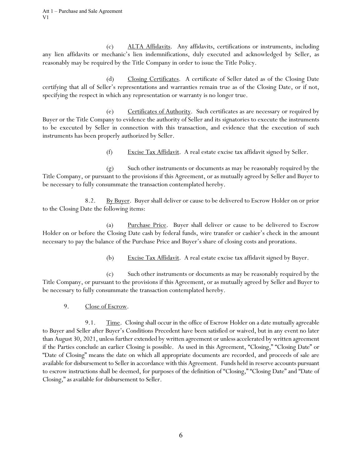(c) ALTA Affidavits. Any affidavits, certifications or instruments, including any lien affidavits or mechanic's lien indemnifications, duly executed and acknowledged by Seller, as reasonably may be required by the Title Company in order to issue the Title Policy.

(d) Closing Certificates. A certificate of Seller dated as of the Closing Date certifying that all of Seller's representations and warranties remain true as of the Closing Date, or if not, specifying the respect in which any representation or warranty is no longer true.

(e) Certificates of Authority. Such certificates as are necessary or required by Buyer or the Title Company to evidence the authority of Seller and its signatories to execute the instruments to be executed by Seller in connection with this transaction, and evidence that the execution of such instruments has been properly authorized by Seller.

(f) Excise Tax Affidavit. A real estate excise tax affidavit signed by Seller.

(g) Such other instruments or documents as may be reasonably required by the Title Company, or pursuant to the provisions if this Agreement, or as mutually agreed by Seller and Buyer to be necessary to fully consummate the transaction contemplated hereby.

8.2. By Buyer. Buyer shall deliver or cause to be delivered to Escrow Holder on or prior to the Closing Date the following items:

(a) Purchase Price. Buyer shall deliver or cause to be delivered to Escrow Holder on or before the Closing Date cash by federal funds, wire transfer or cashier's check in the amount necessary to pay the balance of the Purchase Price and Buyer's share of closing costs and prorations.

(b) Excise Tax Affidavit. A real estate excise tax affidavit signed by Buyer.

(c) Such other instruments or documents as may be reasonably required by the Title Company, or pursuant to the provisions if this Agreement, or as mutually agreed by Seller and Buyer to be necessary to fully consummate the transaction contemplated hereby.

9. Close of Escrow.

9.1. Time. Closing shall occur in the office of Escrow Holder on a date mutually agreeable to Buyer and Seller after Buyer's Conditions Precedent have been satisfied or waived, but in any event no later than August 30, 2021, unless further extended by written agreement or unless accelerated by written agreement if the Parties conclude an earlier Closing is possible. As used in this Agreement, "Closing," "Closing Date" or "Date of Closing" means the date on which all appropriate documents are recorded, and proceeds of sale are available for disbursement to Seller in accordance with this Agreement. Funds held in reserve accounts pursuant to escrow instructions shall be deemed, for purposes of the definition of "Closing," "Closing Date" and "Date of Closing," as available for disbursement to Seller.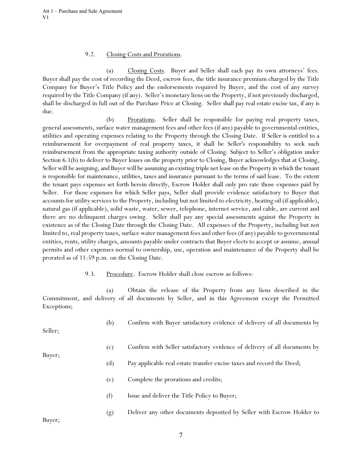#### 9.2. Closing Costs and Prorations.

(a) Closing Costs. Buyer and Seller shall each pay its own attorneys' fees. Buyer shall pay the cost of recording the Deed, escrow fees, the title insurance premium charged by the Title Company for Buyer's Title Policy and the endorsements required by Buyer, and the cost of any survey required by the Title Company (if any). Seller's monetary liens on the Property, if not previously discharged, shall be discharged in full out of the Purchase Price at Closing. Seller shall pay real estate excise tax, if any is due.

 (b) Prorations. Seller shall be responsible for paying real property taxes, general assessments, surface water management fees and other fees (if any) payable to governmental entities, utilities and operating expenses relating to the Property through the Closing Date. If Seller is entitled to a reimbursement for overpayment of real property taxes, it shall be Seller's responsibility to seek such reimbursement from the appropriate taxing authority outside of Closing. Subject to Seller's obligation under Section 6.1(b) to deliver to Buyer leases on the property prior to Closing, Buyer acknowledges that at Closing, Seller will be assigning, and Buyer will be assuming an existing triple net lease on the Property in which the tenant is responsible for maintenance, utilities, taxes and insurance pursuant to the terms of said lease. To the extent the tenant pays expenses set forth herein directly, Escrow Holder shall only pro rate those expenses paid by Seller. For those expenses for which Seller pays, Seller shall provide evidence satisfactory to Buyer that accounts for utility services to the Property, including but not limited to electricity, heating oil (if applicable), natural gas (if applicable), solid waste, water, sewer, telephone, internet service, and cable, are current and there are no delinquent charges owing. Seller shall pay any special assessments against the Property in existence as of the Closing Date through the Closing Date. All expenses of the Property, including but not limited to, real property taxes, surface water management fees and other fees (if any) payable to governmental entities, rents, utility charges, amounts payable under contracts that Buyer elects to accept or assume, annual permits and other expenses normal to ownership, use, operation and maintenance of the Property shall be prorated as of 11:59 p.m. on the Closing Date.

#### 9.3. Procedure. Escrow Holder shall close escrow as follows:

(a) Obtain the release of the Property from any liens described in the Commitment, and delivery of all documents by Seller, and in this Agreement except the Permitted Exceptions;

| Seller; | (b) | Confirm with Buyer satisfactory evidence of delivery of all documents by  |
|---------|-----|---------------------------------------------------------------------------|
|         | (c) | Confirm with Seller satisfactory evidence of delivery of all documents by |
| Buyer;  | (d) | Pay applicable real estate transfer excise taxes and record the Deed;     |
|         | (e) | Complete the prorations and credits;                                      |
|         | (f) | Issue and deliver the Title Policy to Buyer;                              |
| Buyer;  | (g) | Deliver any other documents deposited by Seller with Escrow Holder to     |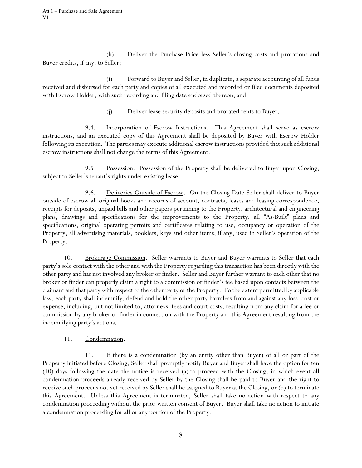(h) Deliver the Purchase Price less Seller's closing costs and prorations and Buyer credits, if any, to Seller;

(i) Forward to Buyer and Seller, in duplicate, a separate accounting of all funds received and disbursed for each party and copies of all executed and recorded or filed documents deposited with Escrow Holder, with such recording and filing date endorsed thereon; and

(j) Deliver lease security deposits and prorated rents to Buyer.

9.4. Incorporation of Escrow Instructions. This Agreement shall serve as escrow instructions, and an executed copy of this Agreement shall be deposited by Buyer with Escrow Holder following its execution. The parties may execute additional escrow instructions provided that such additional escrow instructions shall not change the terms of this Agreement.

9.5 Possession. Possession of the Property shall be delivered to Buyer upon Closing, subject to Seller's tenant's rights under existing lease.

9.6. Deliveries Outside of Escrow. On the Closing Date Seller shall deliver to Buyer outside of escrow all original books and records of account, contracts, leases and leasing correspondence, receipts for deposits, unpaid bills and other papers pertaining to the Property, architectural and engineering plans, drawings and specifications for the improvements to the Property, all "As-Built" plans and specifications, original operating permits and certificates relating to use, occupancy or operation of the Property, all advertising materials, booklets, keys and other items, if any, used in Seller's operation of the Property.

10. Brokerage Commission. Seller warrants to Buyer and Buyer warrants to Seller that each party's sole contact with the other and with the Property regarding this transaction has been directly with the other party and has not involved any broker or finder. Seller and Buyer further warrant to each other that no broker or finder can properly claim a right to a commission or finder's fee based upon contacts between the claimant and that party with respect to the other party or the Property. To the extent permitted by applicable law, each party shall indemnify, defend and hold the other party harmless from and against any loss, cost or expense, including, but not limited to, attorneys' fees and court costs, resulting from any claim for a fee or commission by any broker or finder in connection with the Property and this Agreement resulting from the indemnifying party's actions.

# 11. Condemnation.

11. If there is a condemnation (by an entity other than Buyer) of all or part of the Property initiated before Closing, Seller shall promptly notify Buyer and Buyer shall have the option for ten (10) days following the date the notice is received (a) to proceed with the Closing, in which event all condemnation proceeds already received by Seller by the Closing shall be paid to Buyer and the right to receive such proceeds not yet received by Seller shall be assigned to Buyer at the Closing, or (b) to terminate this Agreement. Unless this Agreement is terminated, Seller shall take no action with respect to any condemnation proceeding without the prior written consent of Buyer. Buyer shall take no action to initiate a condemnation proceeding for all or any portion of the Property.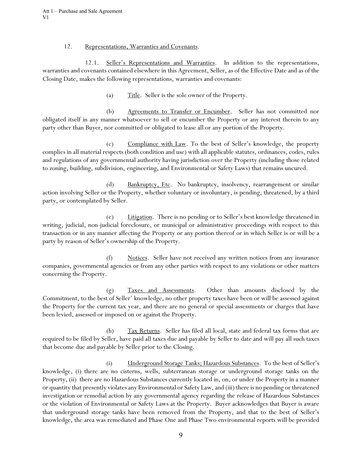Att 1 – Purchase and Sale Agreement V1

#### 12. Representations, Warranties and Covenants.

12.1. Seller's Representations and Warranties. In addition to the representations, warranties and covenants contained elsewhere in this Agreement, Seller, as of the Effective Date and as of the Closing Date, makes the following representations, warranties and covenants:

(a) Title. Seller is the sole owner of the Property.

(b) Agreements to Transfer or Encumber. Seller has not committed nor obligated itself in any manner whatsoever to sell or encumber the Property or any interest therein to any party other than Buyer, nor committed or obligated to lease all or any portion of the Property.

(c) Compliance with Law. To the best of Seller's knowledge, the property complies in all material respects (both condition and use) with all applicable statutes, ordinances, codes, rules and regulations of any governmental authority having jurisdiction over the Property (including those related to zoning, building, subdivision, engineering, and Environmental or Safety Laws) that remains uncured.

(d) Bankruptcy, Etc. No bankruptcy, insolvency, rearrangement or similar action involving Seller or the Property, whether voluntary or involuntary, is pending, threatened, by a third party, or contemplated by Seller.

(e) Litigation. There is no pending or to Seller's best knowledge threatened in writing, judicial, non-judicial foreclosure, or municipal or administrative proceedings with respect to this transaction or in any manner affecting the Property or any portion thereof or in which Seller is or will be a party by reason of Seller's ownership of the Property.

(f) Notices. Seller have not received any written notices from any insurance companies, governmental agencies or from any other parties with respect to any violations or other matters concerning the Property.

(g) Taxes and Assessments. Other than amounts disclosed by the Commitment, to the best of Seller' knowledge, no other property taxes have been or will be assessed against the Property for the current tax year, and there are no general or special assessments or charges that have been levied, assessed or imposed on or against the Property.

(h) Tax Returns. Seller has filed all local, state and federal tax forms that are required to be filed by Seller, have paid all taxes due and payable by Seller to date and will pay all such taxes that become due and payable by Seller prior to the Closing.

(i) Underground Storage Tanks; Hazardous Substances. To the best of Seller's knowledge, (i) there are no cisterns, wells, subterranean storage or underground storage tanks on the Property, (ii) there are no Hazardous Substances currently located in, on, or under the Property in a manner or quantity that presently violates any Environmental or Safety Law, and (iii) there is no pending or threatened investigation or remedial action by any governmental agency regarding the release of Hazardous Substances or the violation of Environmental or Safety Laws at the Property. Buyer acknowledges that Buyer is aware that underground storage tanks have been removed from the Property, and that to the best of Seller's knowledge, the area was remediated and Phase One and Phase Two environmental reports will be provided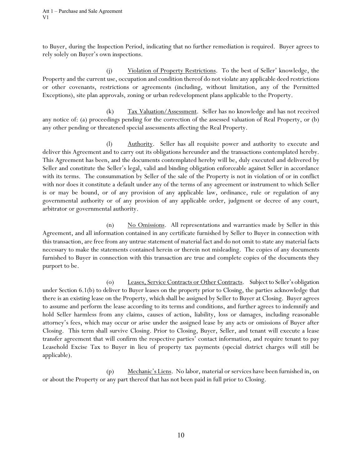to Buyer, during the Inspection Period, indicating that no further remediation is required. Buyer agrees to rely solely on Buyer's own inspections.

(j) Violation of Property Restrictions. To the best of Seller' knowledge, the Property and the current use, occupation and condition thereof do not violate any applicable deed restrictions or other covenants, restrictions or agreements (including, without limitation, any of the Permitted Exceptions), site plan approvals, zoning or urban redevelopment plans applicable to the Property.

(k) Tax Valuation/Assessment. Seller has no knowledge and has not received any notice of: (a) proceedings pending for the correction of the assessed valuation of Real Property, or (b) any other pending or threatened special assessments affecting the Real Property.

(l) Authority. Seller has all requisite power and authority to execute and deliver this Agreement and to carry out its obligations hereunder and the transactions contemplated hereby. This Agreement has been, and the documents contemplated hereby will be, duly executed and delivered by Seller and constitute the Seller's legal, valid and binding obligation enforceable against Seller in accordance with its terms. The consummation by Seller of the sale of the Property is not in violation of or in conflict with nor does it constitute a default under any of the terms of any agreement or instrument to which Seller is or may be bound, or of any provision of any applicable law, ordinance, rule or regulation of any governmental authority or of any provision of any applicable order, judgment or decree of any court, arbitrator or governmental authority.

(n) No Omissions. All representations and warranties made by Seller in this Agreement, and all information contained in any certificate furnished by Seller to Buyer in connection with this transaction, are free from any untrue statement of material fact and do not omit to state any material facts necessary to make the statements contained herein or therein not misleading. The copies of any documents furnished to Buyer in connection with this transaction are true and complete copies of the documents they purport to be.

(o) Leases, Service Contracts or Other Contracts. Subject to Seller's obligation under Section 6.1(b) to deliver to Buyer leases on the property prior to Closing, the parties acknowledge that there is an existing lease on the Property, which shall be assigned by Seller to Buyer at Closing. Buyer agrees to assume and perform the lease according to its terms and conditions, and further agrees to indemnify and hold Seller harmless from any claims, causes of action, liability, loss or damages, including reasonable attorney's fees, which may occur or arise under the assigned lease by any acts or omissions of Buyer after Closing. This term shall survive Closing. Prior to Closing, Buyer, Seller, and tenant will execute a lease transfer agreement that will confirm the respective parties' contact information, and require tenant to pay Leasehold Excise Tax to Buyer in lieu of property tax payments (special district charges will still be applicable).

(p) Mechanic's Liens. No labor, material or services have been furnished in, on or about the Property or any part thereof that has not been paid in full prior to Closing.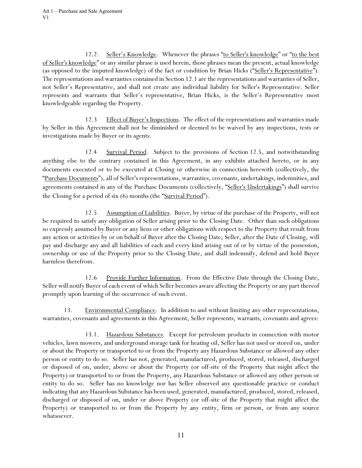12.2. Seller's Knowledge. Whenever the phrases "to Seller's knowledge" or "to the best of Seller's knowledge" or any similar phrase is used herein, those phrases mean the present, actual knowledge (as opposed to the imputed knowledge) of the fact or condition by Brian Hicks ("Seller's Representative"). The representations and warranties contained in Section 12.1 are the representations and warranties of Seller, not Seller's Representative, and shall not create any individual liability for Seller's Representative. Seller represents and warrants that Seller's representative, Brian Hicks, is the Seller's Representative most knowledgeable regarding the Property.

12.3 Effect of Buyer's Inspections. The effect of the representations and warranties made by Seller in this Agreement shall not be diminished or deemed to be waived by any inspections, tests or investigations made by Buyer or its agents.

12.4 Survival Period. Subject to the provisions of Section 12.5, and notwithstanding anything else to the contrary contained in this Agreement, in any exhibits attached hereto, or in any documents executed or to be executed at Closing or otherwise in connection herewith (collectively, the "Purchase Documents"), all of Seller's representations, warranties, covenants, undertakings, indemnities, and agreements contained in any of the Purchase Documents (collectively, "Seller's Undertakings") shall survive the Closing for a period of six (6) months (the "Survival Period").

12.5 Assumption of Liabilities. Buyer, by virtue of the purchase of the Property, will not be required to satisfy any obligation of Seller arising prior to the Closing Date. Other than such obligations so expressly assumed by Buyer or any liens or other obligations with respect to the Property that result from any action or activities by or on behalf of Buyer after the Closing Date, Seller, after the Date of Closing, will pay and discharge any and all liabilities of each and every kind arising out of or by virtue of the possession, ownership or use of the Property prior to the Closing Date, and shall indemnify, defend and hold Buyer harmless therefrom.

12.6 Provide Further Information. From the Effective Date through the Closing Date, Seller will notify Buyer of each event of which Seller becomes aware affecting the Property or any part thereof promptly upon learning of the occurrence of such event.

13. Environmental Compliance. In addition to and without limiting any other representations, warranties, covenants and agreements in this Agreement, Seller represents, warrants, covenants and agrees:

13.1. **Hazardous Substances.** Except for petroleum products in connection with motor vehicles, lawn mowers, and underground storage tank for heating oil, Seller has not used or stored on, under or about the Property or transported to or from the Property any Hazardous Substance or allowed any other person or entity to do so. Seller has not, generated, manufactured, produced, stored, released, discharged or disposed of on, under, above or about the Property (or off-site of the Property that might affect the Property) or transported to or from the Property, any Hazardous Substance or allowed any other person or entity to do so. Seller has no knowledge nor has Seller observed any questionable practice or conduct indicating that any Hazardous Substance has been used, generated, manufactured, produced, stored, released, discharged or disposed of on, under or above Property (or off-site of the Property that might affect the Property) or transported to or from the Property by any entity, firm or person, or from any source whatsoever.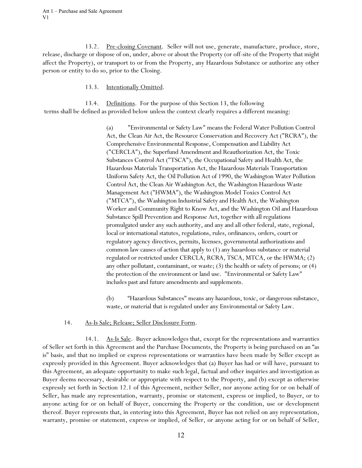13.2. Pre-closing Covenant. Seller will not use, generate, manufacture, produce, store, release, discharge or dispose of on, under, above or about the Property (or off-site of the Property that might affect the Property), or transport to or from the Property, any Hazardous Substance or authorize any other person or entity to do so, prior to the Closing.

### 13.3. Intentionally Omitted.

13.4. Definitions. For the purpose of this Section 13, the following terms shall be defined as provided below unless the context clearly requires a different meaning:

> (a) "Environmental or Safety Law" means the Federal Water Pollution Control Act, the Clean Air Act, the Resource Conservation and Recovery Act ("RCRA"), the Comprehensive Environmental Response, Compensation and Liability Act ("CERCLA"), the Superfund Amendment and Reauthorization Act, the Toxic Substances Control Act ("TSCA"), the Occupational Safety and Health Act, the Hazardous Materials Transportation Act, the Hazardous Materials Transportation Uniform Safety Act, the Oil Pollution Act of 1990, the Washington Water Pollution Control Act, the Clean Air Washington Act, the Washington Hazardous Waste Management Act ("HWMA"), the Washington Model Toxics Control Act ("MTCA"), the Washington Industrial Safety and Health Act, the Washington Worker and Community Right to Know Act, and the Washington Oil and Hazardous Substance Spill Prevention and Response Act, together with all regulations promulgated under any such authority, and any and all other federal, state, regional, local or international statutes, regulations, rules, ordinances, orders, court or regulatory agency directives, permits, licenses, governmental authorizations and common law causes of action that apply to (1) any hazardous substance or material regulated or restricted under CERCLA, RCRA, TSCA, MTCA, or the HWMA; (2) any other pollutant, contaminant, or waste; (3) the health or safety of persons; or (4) the protection of the environment or land use. "Environmental or Safety Law" includes past and future amendments and supplements.

> (b) "Hazardous Substances" means any hazardous, toxic, or dangerous substance, waste, or material that is regulated under any Environmental or Safety Law.

## 14. As-Is Sale; Release; Seller Disclosure Form.

14.1. As-Is Sale. Buyer acknowledges that, except for the representations and warranties of Seller set forth in this Agreement and the Purchase Documents, the Property is being purchased on an "as is" basis, and that no implied or express representations or warranties have been made by Seller except as expressly provided in this Agreement. Buyer acknowledges that (a) Buyer has had or will have, pursuant to this Agreement, an adequate opportunity to make such legal, factual and other inquiries and investigation as Buyer deems necessary, desirable or appropriate with respect to the Property, and (b) except as otherwise expressly set forth in Section 12.1 of this Agreement, neither Seller, nor anyone acting for or on behalf of Seller, has made any representation, warranty, promise or statement, express or implied, to Buyer, or to anyone acting for or on behalf of Buyer, concerning the Property or the condition, use or development thereof. Buyer represents that, in entering into this Agreement, Buyer has not relied on any representation, warranty, promise or statement, express or implied, of Seller, or anyone acting for or on behalf of Seller,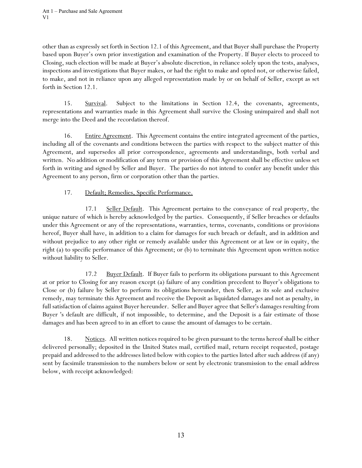other than as expressly set forth in Section 12.1 of this Agreement, and that Buyer shall purchase the Property based upon Buyer's own prior investigation and examination of the Property. If Buyer elects to proceed to Closing, such election will be made at Buyer's absolute discretion, in reliance solely upon the tests, analyses, inspections and investigations that Buyer makes, or had the right to make and opted not, or otherwise failed, to make, and not in reliance upon any alleged representation made by or on behalf of Seller, except as set forth in Section 12.1.

15. Survival. Subject to the limitations in Section 12.4, the covenants, agreements, representations and warranties made in this Agreement shall survive the Closing unimpaired and shall not merge into the Deed and the recordation thereof.

16. Entire Agreement. This Agreement contains the entire integrated agreement of the parties, including all of the covenants and conditions between the parties with respect to the subject matter of this Agreement, and supersedes all prior correspondence, agreements and understandings, both verbal and written. No addition or modification of any term or provision of this Agreement shall be effective unless set forth in writing and signed by Seller and Buyer. The parties do not intend to confer any benefit under this Agreement to any person, firm or corporation other than the parties.

# 17. Default; Remedies, Specific Performance.

17.1 Seller Default. This Agreement pertains to the conveyance of real property, the unique nature of which is hereby acknowledged by the parties. Consequently, if Seller breaches or defaults under this Agreement or any of the representations, warranties, terms, covenants, conditions or provisions hereof, Buyer shall have, in addition to a claim for damages for such breach or default, and in addition and without prejudice to any other right or remedy available under this Agreement or at law or in equity, the right (a) to specific performance of this Agreement; or (b) to terminate this Agreement upon written notice without liability to Seller.

17.2 Buyer Default. If Buyer fails to perform its obligations pursuant to this Agreement at or prior to Closing for any reason except (a) failure of any condition precedent to Buyer's obligations to Close or (b) failure by Seller to perform its obligations hereunder, then Seller, as its sole and exclusive remedy, may terminate this Agreement and receive the Deposit as liquidated damages and not as penalty, in full satisfaction of claims against Buyer hereunder. Seller and Buyer agree that Seller's damages resulting from Buyer 's default are difficult, if not impossible, to determine, and the Deposit is a fair estimate of those damages and has been agreed to in an effort to cause the amount of damages to be certain.

18. Notices. All written notices required to be given pursuant to the terms hereof shall be either delivered personally; deposited in the United States mail, certified mail, return receipt requested, postage prepaid and addressed to the addresses listed below with copies to the parties listed after such address (if any) sent by facsimile transmission to the numbers below or sent by electronic transmission to the email address below, with receipt acknowledged: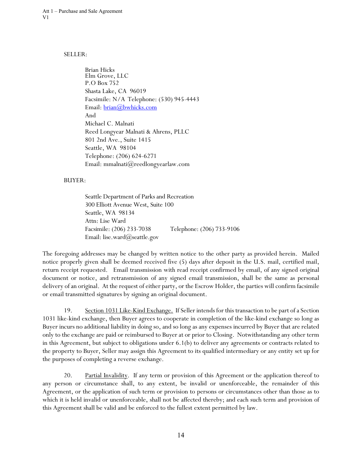#### SELLER:

Brian Hicks Elm Grove, LLC P.O Box 752 Shasta Lake, CA 96019 Facsimile: N/A Telephone: (530) 945-4443 Email: brian@bwhicks.com And Michael C. Malnati Reed Longyear Malnati & Ahrens, PLLC 801 2nd Ave., Suite 1415 Seattle, WA 98104 Telephone: (206) 624-6271 Email: mmalnati@reedlongyearlaw.com

#### BUYER:

Seattle Department of Parks and Recreation 300 Elliott Avenue West, Suite 100 Seattle, WA 98134 Attn: Lise Ward Facsimile: (206) 233-7038 Telephone: (206) 733-9106 Email: lise.ward@seattle.gov

The foregoing addresses may be changed by written notice to the other party as provided herein. Mailed notice properly given shall be deemed received five (5) days after deposit in the U.S. mail, certified mail, return receipt requested. Email transmission with read receipt confirmed by email, of any signed original document or notice, and retransmission of any signed email transmission, shall be the same as personal delivery of an original. At the request of either party, or the Escrow Holder, the parties will confirm facsimile or email transmitted signatures by signing an original document.

19. Section 1031 Like-Kind Exchange. If Seller intends for this transaction to be part of a Section 1031 like-kind exchange, then Buyer agrees to cooperate in completion of the like-kind exchange so long as Buyer incurs no additional liability in doing so, and so long as any expenses incurred by Buyer that are related only to the exchange are paid or reimbursed to Buyer at or prior to Closing. Notwithstanding any other term in this Agreement, but subject to obligations under 6.1(b) to deliver any agreements or contracts related to the property to Buyer, Seller may assign this Agreement to its qualified intermediary or any entity set up for the purposes of completing a reverse exchange.

20. Partial Invalidity. If any term or provision of this Agreement or the application thereof to any person or circumstance shall, to any extent, be invalid or unenforceable, the remainder of this Agreement, or the application of such term or provision to persons or circumstances other than those as to which it is held invalid or unenforceable, shall not be affected thereby; and each such term and provision of this Agreement shall be valid and be enforced to the fullest extent permitted by law.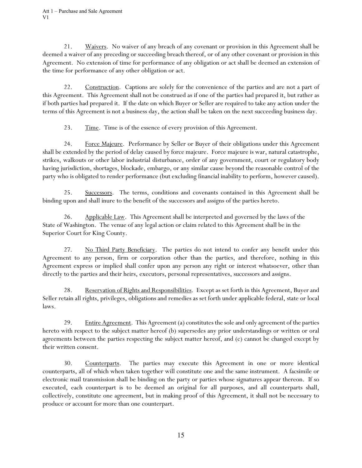Att 1 – Purchase and Sale Agreement V1

21. Waivers. No waiver of any breach of any covenant or provision in this Agreement shall be deemed a waiver of any preceding or succeeding breach thereof, or of any other covenant or provision in this Agreement. No extension of time for performance of any obligation or act shall be deemed an extension of the time for performance of any other obligation or act.

22. Construction. Captions are solely for the convenience of the parties and are not a part of this Agreement. This Agreement shall not be construed as if one of the parties had prepared it, but rather as if both parties had prepared it. If the date on which Buyer or Seller are required to take any action under the terms of this Agreement is not a business day, the action shall be taken on the next succeeding business day.

23. Time. Time is of the essence of every provision of this Agreement.

24. Force Majeure. Performance by Seller or Buyer of their obligations under this Agreement shall be extended by the period of delay caused by force majeure. Force majeure is war, natural catastrophe, strikes, walkouts or other labor industrial disturbance, order of any government, court or regulatory body having jurisdiction, shortages, blockade, embargo, or any similar cause beyond the reasonable control of the party who is obligated to render performance (but excluding financial inability to perform, however caused).

25. Successors. The terms, conditions and covenants contained in this Agreement shall be binding upon and shall inure to the benefit of the successors and assigns of the parties hereto.

26. Applicable Law. This Agreement shall be interpreted and governed by the laws of the State of Washington. The venue of any legal action or claim related to this Agreement shall be in the Superior Court for King County.

27. No Third Party Beneficiary. The parties do not intend to confer any benefit under this Agreement to any person, firm or corporation other than the parties, and therefore, nothing in this Agreement express or implied shall confer upon any person any right or interest whatsoever, other than directly to the parties and their heirs, executors, personal representatives, successors and assigns.

28. Reservation of Rights and Responsibilities. Except as set forth in this Agreement, Buyer and Seller retain all rights, privileges, obligations and remedies as set forth under applicable federal, state or local laws.

29. Entire Agreement. This Agreement (a) constitutes the sole and only agreement of the parties hereto with respect to the subject matter hereof (b) supersedes any prior understandings or written or oral agreements between the parties respecting the subject matter hereof, and (c) cannot be changed except by their written consent.

30. Counterparts. The parties may execute this Agreement in one or more identical counterparts, all of which when taken together will constitute one and the same instrument. A facsimile or electronic mail transmission shall be binding on the party or parties whose signatures appear thereon. If so executed, each counterpart is to be deemed an original for all purposes, and all counterparts shall, collectively, constitute one agreement, but in making proof of this Agreement, it shall not be necessary to produce or account for more than one counterpart.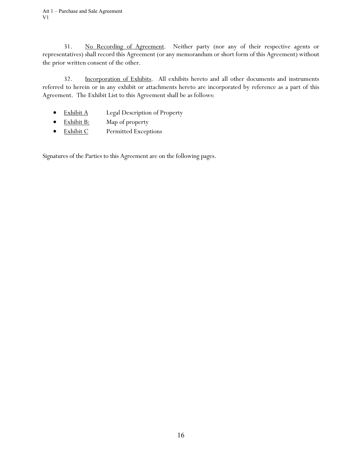31. No Recording of Agreement. Neither party (nor any of their respective agents or representatives) shall record this Agreement (or any memorandum or short form of this Agreement) without the prior written consent of the other.

32. Incorporation of Exhibits. All exhibits hereto and all other documents and instruments referred to herein or in any exhibit or attachments hereto are incorporated by reference as a part of this Agreement. The Exhibit List to this Agreement shall be as follows:

- Exhibit A Legal Description of Property
- Exhibit B: Map of property
- Exhibit C Permitted Exceptions

Signatures of the Parties to this Agreement are on the following pages.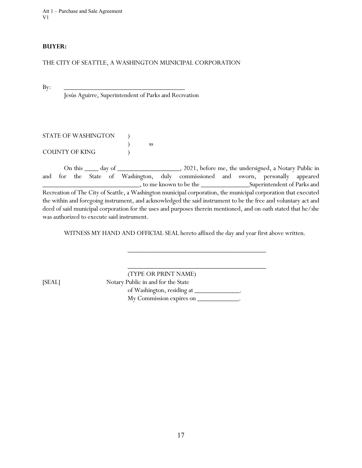Att 1 – Purchase and Sale Agreement V1

#### **BUYER:**

THE CITY OF SEATTLE, A WASHINGTON MUNICIPAL CORPORATION

By: \_\_\_\_\_\_\_\_\_\_\_\_\_\_\_\_\_\_\_\_\_\_\_\_\_\_\_\_\_\_\_\_\_\_\_

Jesús Aguirre, Superintendent of Parks and Recreation

| STATE OF WASHINGTON |    |
|---------------------|----|
|                     | SS |
| COUNTY OF KING      |    |

On this \_\_\_\_ day of \_\_\_\_\_\_\_\_\_\_\_\_\_\_\_\_, 2021, before me, the undersigned, a Notary Public in and for the State of Washington, duly commissioned and sworn, personally appeared \_\_\_\_\_\_\_\_\_\_\_\_\_\_\_\_\_\_\_\_\_\_\_\_\_\_\_\_, to me known to be the \_\_\_\_\_\_\_\_\_\_\_\_\_\_Superintendent of Parks and Recreation of The City of Seattle, a Washington municipal corporation, the municipal corporation that executed the within and foregoing instrument, and acknowledged the said instrument to be the free and voluntary act and deed of said municipal corporation for the uses and purposes therein mentioned, and on oath stated that he/she was authorized to execute said instrument.

WITNESS MY HAND AND OFFICIAL SEAL hereto affixed the day and year first above written.

\_\_\_\_\_\_\_\_\_\_\_\_\_\_\_\_\_\_\_\_\_\_\_\_\_\_\_\_\_\_\_\_\_\_\_\_\_\_\_\_

\_\_\_\_\_\_\_\_\_\_\_\_\_\_\_\_\_\_\_\_\_\_\_\_\_\_\_\_\_\_\_\_\_\_\_\_\_\_\_\_

(TYPE OR PRINT NAME) [SEAL] Notary Public in and for the State of Washington, residing at My Commission expires on \_\_\_\_\_\_\_\_\_\_\_\_\_.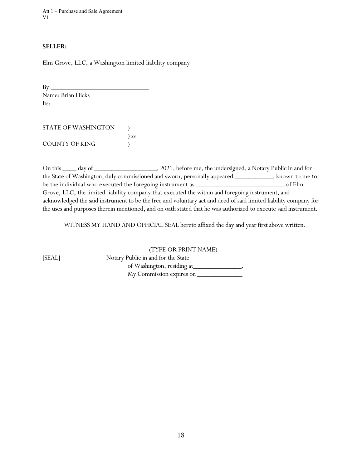Att 1 – Purchase and Sale Agreement V1

#### **SELLER:**

Elm Grove, LLC, a Washington limited liability company

 $By:$ Name: Brian Hicks Its:

| STATE OF WASHINGTON |           |
|---------------------|-----------|
|                     | $\sum$ SS |
| COUNTY OF KING      |           |

On this \_\_\_\_ day of \_\_\_\_\_\_\_\_\_\_\_\_\_\_\_\_\_\_\_, 2021, before me, the undersigned, a Notary Public in and for the State of Washington, duly commissioned and sworn, personally appeared \_\_\_\_\_\_\_\_\_\_\_, known to me to be the individual who executed the foregoing instrument as  $\_\_\_\_\_\_\_\_$ Grove, LLC, the limited liability company that executed the within and foregoing instrument, and acknowledged the said instrument to be the free and voluntary act and deed of said limited liability company for the uses and purposes therein mentioned, and on oath stated that he was authorized to execute said instrument.

WITNESS MY HAND AND OFFICIAL SEAL hereto affixed the day and year first above written.

\_\_\_\_\_\_\_\_\_\_\_\_\_\_\_\_\_\_\_\_\_\_\_\_\_\_\_\_\_\_\_\_\_\_\_\_\_\_\_\_

(TYPE OR PRINT NAME) [SEAL] Notary Public in and for the State of Washington, residing at\_\_\_\_\_\_\_\_\_\_\_\_\_\_\_. My Commission expires on  $\_\_$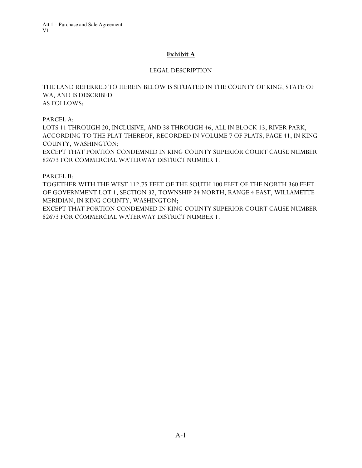# **Exhibit A**

# LEGAL DESCRIPTION

THE LAND REFERRED TO HEREIN BELOW IS SITUATED IN THE COUNTY OF KING, STATE OF WA, AND IS DESCRIBED AS FOLLOWS:

PARCEL A:

LOTS 11 THROUGH 20, INCLUSIVE, AND 38 THROUGH 46, ALL IN BLOCK 13, RIVER PARK, ACCORDING TO THE PLAT THEREOF, RECORDED IN VOLUME 7 OF PLATS, PAGE 41, IN KING COUNTY, WASHINGTON;

EXCEPT THAT PORTION CONDEMNED IN KING COUNTY SUPERIOR COURT CAUSE NUMBER 82673 FOR COMMERCIAL WATERWAY DISTRICT NUMBER 1.

## PARCEL B:

TOGETHER WITH THE WEST 112.75 FEET OF THE SOUTH 100 FEET OF THE NORTH 360 FEET OF GOVERNMENT LOT 1, SECTION 32, TOWNSHIP 24 NORTH, RANGE 4 EAST, WILLAMETTE MERIDIAN, IN KING COUNTY, WASHINGTON;

EXCEPT THAT PORTION CONDEMNED IN KING COUNTY SUPERIOR COURT CAUSE NUMBER 82673 FOR COMMERCIAL WATERWAY DISTRICT NUMBER 1.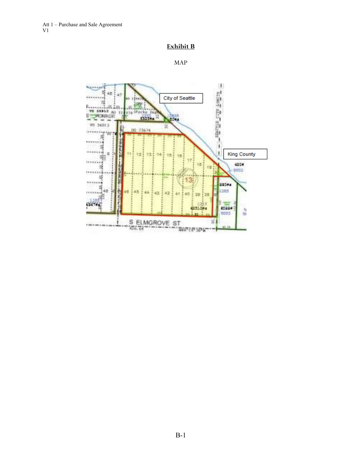# **Exhibit B**

```
MAP
```
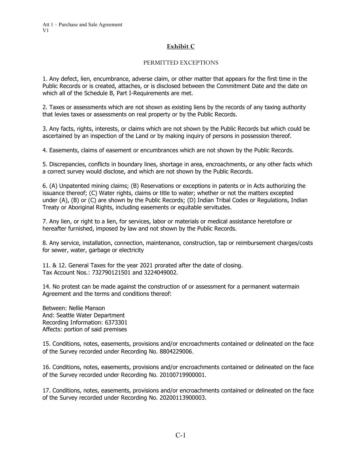## **Exhibit C**

### PERMITTED EXCEPTIONS

1. Any defect, lien, encumbrance, adverse claim, or other matter that appears for the first time in the Public Records or is created, attaches, or is disclosed between the Commitment Date and the date on which all of the Schedule B, Part I-Requirements are met.

2. Taxes or assessments which are not shown as existing liens by the records of any taxing authority that levies taxes or assessments on real property or by the Public Records.

3. Any facts, rights, interests, or claims which are not shown by the Public Records but which could be ascertained by an inspection of the Land or by making inquiry of persons in possession thereof.

4. Easements, claims of easement or encumbrances which are not shown by the Public Records.

5. Discrepancies, conflicts in boundary lines, shortage in area, encroachments, or any other facts which a correct survey would disclose, and which are not shown by the Public Records.

6. (A) Unpatented mining claims; (B) Reservations or exceptions in patents or in Acts authorizing the issuance thereof; (C) Water rights, claims or title to water; whether or not the matters excepted under (A), (B) or (C) are shown by the Public Records; (D) Indian Tribal Codes or Regulations, Indian Treaty or Aboriginal Rights, including easements or equitable servitudes.

7. Any lien, or right to a lien, for services, labor or materials or medical assistance heretofore or hereafter furnished, imposed by law and not shown by the Public Records.

8. Any service, installation, connection, maintenance, construction, tap or reimbursement charges/costs for sewer, water, garbage or electricity

11. & 12. General Taxes for the year 2021 prorated after the date of closing. Tax Account Nos.: 732790121501 and 3224049002.

14. No protest can be made against the construction of or assessment for a permanent watermain Agreement and the terms and conditions thereof:

Between: Nellie Manson And: Seattle Water Department Recording Information: 6373301 Affects: portion of said premises

15. Conditions, notes, easements, provisions and/or encroachments contained or delineated on the face of the Survey recorded under Recording No. 8804229006.

16. Conditions, notes, easements, provisions and/or encroachments contained or delineated on the face of the Survey recorded under Recording No. 20100719900001.

17. Conditions, notes, easements, provisions and/or encroachments contained or delineated on the face of the Survey recorded under Recording No. 20200113900003.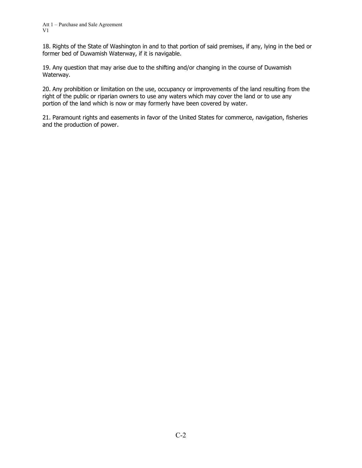18. Rights of the State of Washington in and to that portion of said premises, if any, lying in the bed or former bed of Duwamish Waterway, if it is navigable.

19. Any question that may arise due to the shifting and/or changing in the course of Duwamish Waterway.

20. Any prohibition or limitation on the use, occupancy or improvements of the land resulting from the right of the public or riparian owners to use any waters which may cover the land or to use any portion of the land which is now or may formerly have been covered by water.

21. Paramount rights and easements in favor of the United States for commerce, navigation, fisheries and the production of power.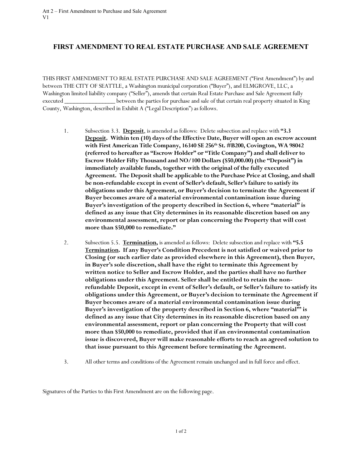# **FIRST AMENDMENT TO REAL ESTATE PURCHASE AND SALE AGREEMENT**

THIS FIRST AMENDMENT TO REAL ESTATE PURCHASE AND SALE AGREEMENT ("First Amendment") by and between THE CITY OF SEATTLE, a Washington municipal corporation ("Buyer"), and ELMGROVE, LLC, a Washington limited liability company ("Seller"), amends that certain Real Estate Purchase and Sale Agreement fully executed \_\_\_\_\_\_\_\_\_\_\_\_\_\_\_\_ between the parties for purchase and sale of that certain real property situated in King County, Washington, described in Exhibit A ("Legal Description") as follows.

- 1. Subsection 3.3. **Deposit**, is amended as follows: Delete subsection and replace with **"3.3 Deposit. Within ten (10) days of the Effective Date, Buyer will open an escrow account**  with First American Title Company, 16340 SE 256<sup>th</sup> St. #B200, Covington, WA 98042 **(referred to hereafter as "Escrow Holder" or "Title Company") and shall deliver to Escrow Holder Fifty Thousand and NO/100 Dollars (\$50,000.00) (the "Deposit") in immediately available funds, together with the original of the fully executed Agreement. The Deposit shall be applicable to the Purchase Price at Closing, and shall be non-refundable except in event of Seller's default, Seller's failure to satisfy its obligations under this Agreement, or Buyer's decision to terminate the Agreement if Buyer becomes aware of a material environmental contamination issue during Buyer's investigation of the property described in Section 6, where "material" is defined as any issue that City determines in its reasonable discretion based on any environmental assessment, report or plan concerning the Property that will cost more than \$50,000 to remediate."**
- 2. Subsection 5.5. **Termination,** is amended as follows:Delete subsection and replace with **"5.5 Termination. If any Buyer's Condition Precedent is not satisfied or waived prior to Closing (or such earlier date as provided elsewhere in this Agreement), then Buyer, in Buyer's sole discretion, shall have the right to terminate this Agreement by written notice to Seller and Escrow Holder, and the parties shall have no further obligations under this Agreement. Seller shall be entitled to retain the nonrefundable Deposit, except in event of Seller's default, or Seller's failure to satisfy its obligations under this Agreement, or Buyer's decision to terminate the Agreement if Buyer becomes aware of a material environmental contamination issue during Buyer's investigation of the property described in Section 6, where "material"' is defined as any issue that City determines in its reasonable discretion based on any environmental assessment, report or plan concerning the Property that will cost more than \$50,000 to remediate, provided that if an environmental contamination issue is discovered, Buyer will make reasonable efforts to reach an agreed solution to that issue pursuant to this Agreement before terminating the Agreement.**
- 3. All other terms and conditions of the Agreement remain unchanged and in full force and effect.

Signatures of the Parties to this First Amendment are on the following page.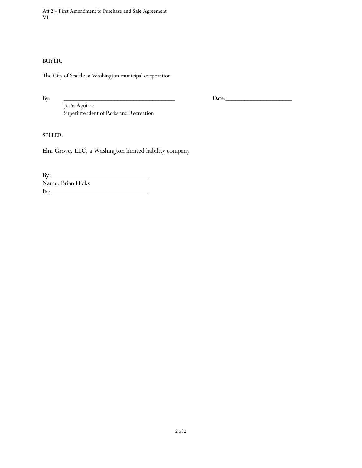Att 2 – First Amendment to Purchase and Sale Agreement V1

BUYER:

The City of Seattle, a Washington municipal corporation

By: \_\_\_\_\_\_\_\_\_\_\_\_\_\_\_\_\_\_\_\_\_\_\_\_\_\_\_\_\_\_\_\_\_\_\_ Date:\_\_\_\_\_\_\_\_\_\_\_\_\_\_\_\_\_\_\_\_\_

Jesús Aguirre Superintendent of Parks and Recreation

SELLER:

Elm Grove, LLC, a Washington limited liability company

By: Name: Brian Hicks Its: